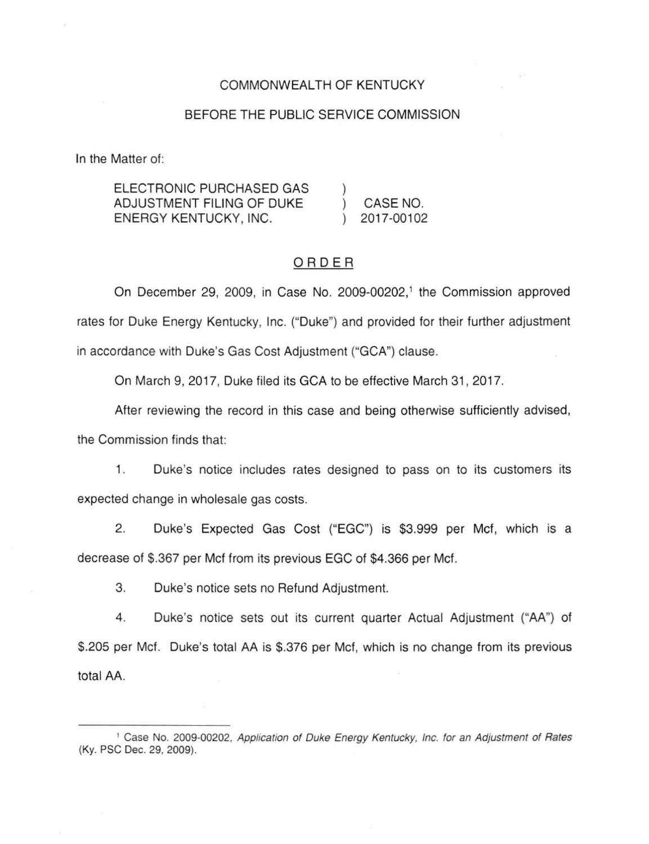# COMMONWEALTH OF KENTUCKY

# BEFORE THE PUBLIC SERVICE COMMISSION

In the Matter of:

ELECTRONIC PURCHASED GAS ADJUSTMENT FILING OF DUKE ENERGY KENTUCKY, INC. ) ) CASE NO. ) 2017-00102

# ORDER

On December 29, 2009, in Case No. 2009-00202, 1 the Commission approved rates for Duke Energy Kentucky, Inc. ("Duke") and provided for their further adjustment in accordance with Duke's Gas Cost Adjustment ("GCA") clause.

On March 9, 2017, Duke filed its GCA to be effective March 31, 2017.

After reviewing the record in this case and being otherwise sufficiently advised, the Commission finds that:

1. Duke's notice includes rates designed to pass on to its customers its expected change in wholesale gas costs.

2. Duke's Expected Gas Cost ("EGC") is \$3.999 per Met, which is a decrease of \$.367 per Met from its previous EGC of \$4.366 per Met.

3. Duke's notice sets no Refund Adjustment.

4. Duke's notice sets out its current quarter Actual Adjustment ("AA'') of \$.205 per Met. Duke's total AA is \$.376 per Met, which is no change from its previous total AA.

<sup>&</sup>lt;sup>1</sup> Case No. 2009-00202, Application of Duke Energy Kentucky, Inc. for an Adjustment of Rates (Ky. PSC Dec. 29, 2009).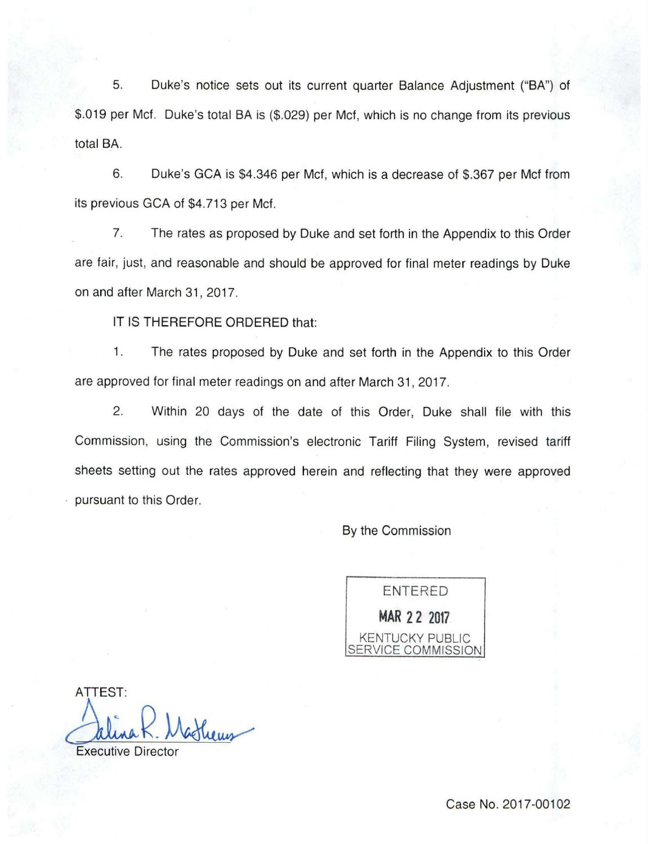5. Duke's notice sets out its current quarter Balance Adjustment ("BA"} of \$.019 per Met. Duke's total BA is (\$.029) per Met, which is no change from its previous total BA.

6. Duke's GCA is \$4.346 per Met, which is a decrease of \$.367 per Met from its previous GCA of \$4.713 per Met.

7. The rates as proposed by Duke and set forth in the Appendix to this Order are fair, just, and reasonable and should be approved for final meter readings by Duke on and after March 31,2017.

IT IS THEREFORE ORDERED that:

1. The rates proposed by Duke and set forth in the Appendix to this Order are approved for final meter readings on and after March 31 , 2017.

2. Within 20 days of the date of this Order, Duke shall file with this Commission, using the Commission's electronic Tariff Filing System, revised tariff sheets setting out the rates approved herein and reflecting that they were approved pursuant to this Order.

By the Commission



ATTEST: Mathems

**Executive Director**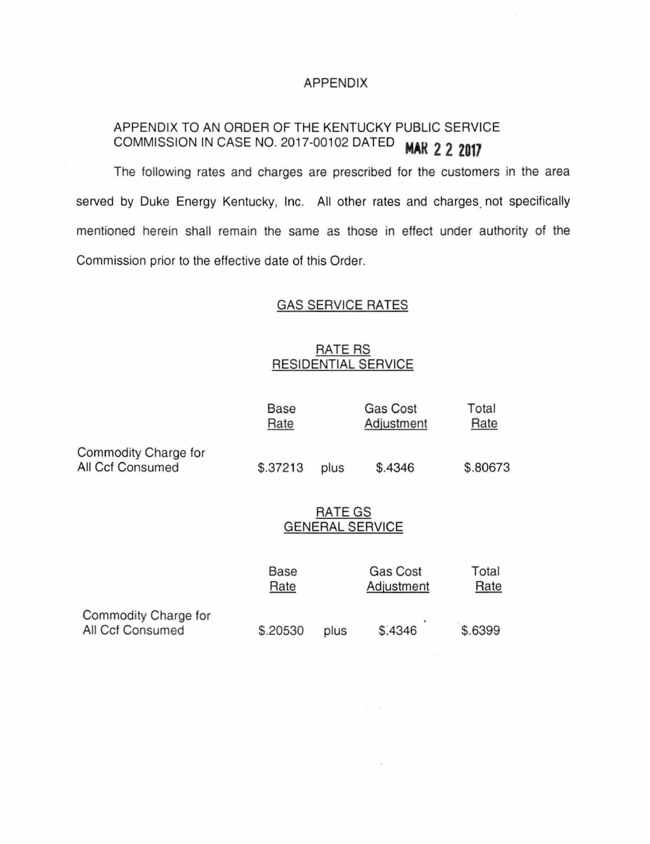### APPENDIX

# APPENDIX TO AN ORDER OF THE KENTUCKY PUBLIC SERVICE COMMISSION IN CASE NO. 2017-00102 DATED **MAR 2 2 Z017**

The following rates and charges are prescribed for the customers in the area served by Duke Energy Kentucky, Inc. All other rates and charges not specifically mentioned herein shall remain the same as those in effect under authority of the Commission prior to the effective date of this Order.

## GAS SERVICE RATES

# **RATE RS** RESIDENTIAL SERVICE

|                                          | <b>Base</b><br>Rate               |      | Gas Cost<br>Adjustment        | Total<br>Rate |
|------------------------------------------|-----------------------------------|------|-------------------------------|---------------|
| Commodity Charge for<br>All Ccf Consumed | \$.37213                          | plus | \$.4346                       | \$.80673      |
|                                          | RATE GS<br><b>GENERAL SERVICE</b> |      |                               |               |
|                                          | Base<br>Rate                      |      | <b>Gas Cost</b><br>Adjustment | Total<br>Rate |
| Commodity Charge for<br>All Ccf Consumed | \$.20530                          | plus | \$.4346                       | \$.6399       |